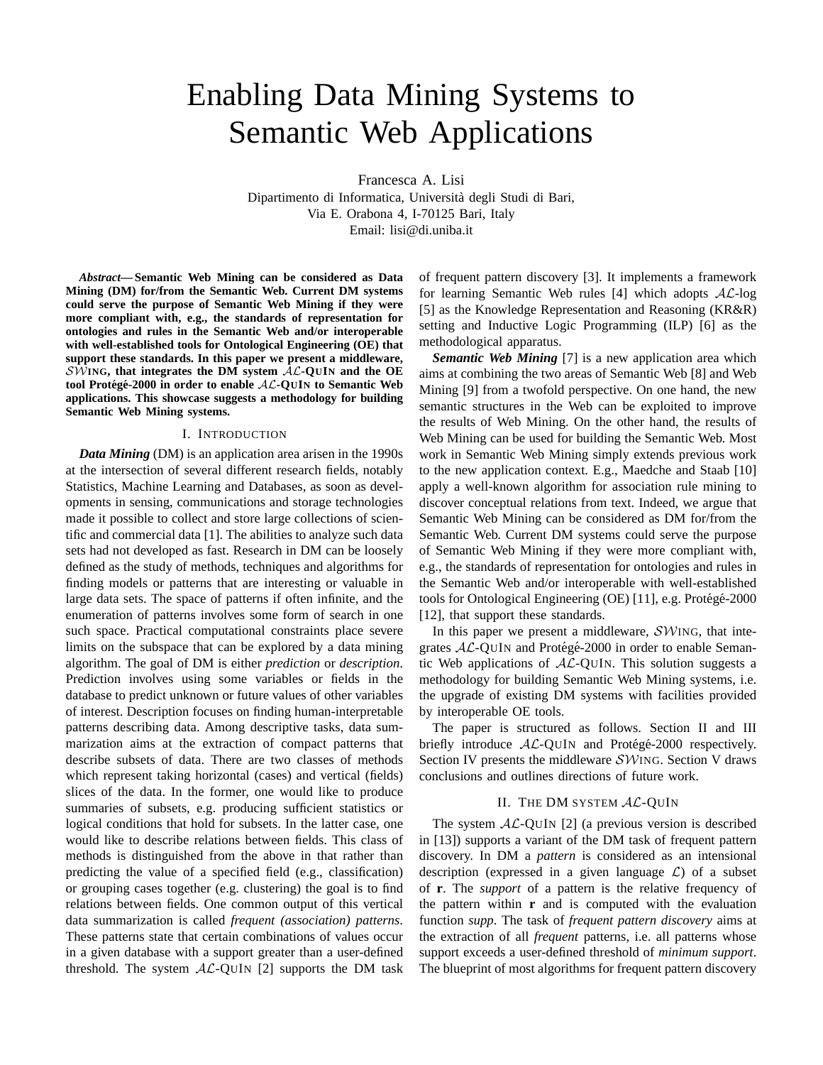# Enabling Data Mining Systems to Semantic Web Applications

Francesca A. Lisi

Dipartimento di Informatica, Universita degli Studi di Bari, ` Via E. Orabona 4, I-70125 Bari, Italy Email: lisi@di.uniba.it

*Abstract***— Semantic Web Mining can be considered as Data Mining (DM) for/from the Semantic Web. Current DM systems could serve the purpose of Semantic Web Mining if they were more compliant with, e.g., the standards of representation for ontologies and rules in the Semantic Web and/or interoperable with well-established tools for Ontological Engineering (OE) that support these standards. In this paper we present a middleware,** SW**ING, that integrates the DM system** AL**-QUIN and the OE tool Proteg´ e-2000 in order to enable ´** AL**-QUIN to Semantic Web applications. This showcase suggests a methodology for building Semantic Web Mining systems.**

## I. INTRODUCTION

*Data Mining* (DM) is an application area arisen in the 1990s at the intersection of several different research fields, notably Statistics, Machine Learning and Databases, as soon as developments in sensing, communications and storage technologies made it possible to collect and store large collections of scientific and commercial data [1]. The abilities to analyze such data sets had not developed as fast. Research in DM can be loosely defined as the study of methods, techniques and algorithms for finding models or patterns that are interesting or valuable in large data sets. The space of patterns if often infinite, and the enumeration of patterns involves some form of search in one such space. Practical computational constraints place severe limits on the subspace that can be explored by a data mining algorithm. The goal of DM is either *prediction* or *description*. Prediction involves using some variables or fields in the database to predict unknown or future values of other variables of interest. Description focuses on finding human-interpretable patterns describing data. Among descriptive tasks, data summarization aims at the extraction of compact patterns that describe subsets of data. There are two classes of methods which represent taking horizontal (cases) and vertical (fields) slices of the data. In the former, one would like to produce summaries of subsets, e.g. producing sufficient statistics or logical conditions that hold for subsets. In the latter case, one would like to describe relations between fields. This class of methods is distinguished from the above in that rather than predicting the value of a specified field (e.g., classification) or grouping cases together (e.g. clustering) the goal is to find relations between fields. One common output of this vertical data summarization is called *frequent (association) patterns*. These patterns state that certain combinations of values occur in a given database with a support greater than a user-defined threshold. The system  $AL-QUIN$  [2] supports the DM task

of frequent pattern discovery [3]. It implements a framework for learning Semantic Web rules  $[4]$  which adopts  $AL$ -log [5] as the Knowledge Representation and Reasoning (KR&R) setting and Inductive Logic Programming (ILP) [6] as the methodological apparatus.

*Semantic Web Mining* [7] is a new application area which aims at combining the two areas of Semantic Web [8] and Web Mining [9] from a twofold perspective. On one hand, the new semantic structures in the Web can be exploited to improve the results of Web Mining. On the other hand, the results of Web Mining can be used for building the Semantic Web. Most work in Semantic Web Mining simply extends previous work to the new application context. E.g., Maedche and Staab [10] apply a well-known algorithm for association rule mining to discover conceptual relations from text. Indeed, we argue that Semantic Web Mining can be considered as DM for/from the Semantic Web. Current DM systems could serve the purpose of Semantic Web Mining if they were more compliant with, e.g., the standards of representation for ontologies and rules in the Semantic Web and/or interoperable with well-established tools for Ontological Engineering (OE) [11], e.g. Protégé-2000 [12], that support these standards.

In this paper we present a middleware,  $\mathcal{SW}$ ING, that integrates  $AL$ -QUIN and Protégé-2000 in order to enable Semantic Web applications of  $AL$ -QUIN. This solution suggests a methodology for building Semantic Web Mining systems, i.e. the upgrade of existing DM systems with facilities provided by interoperable OE tools.

The paper is structured as follows. Section II and III briefly introduce  $AL-QUIN$  and Protégé-2000 respectively. Section IV presents the middleware SWING. Section V draws conclusions and outlines directions of future work.

#### II. THE DM SYSTEM  $AL$ -QUIN

The system  $AL-OUIN$  [2] (a previous version is described in [13]) supports a variant of the DM task of frequent pattern discovery. In DM a *pattern* is considered as an intensional description (expressed in a given language  $\mathcal{L}$ ) of a subset of **r**. The *support* of a pattern is the relative frequency of the pattern within **r** and is computed with the evaluation function *supp*. The task of *frequent pattern discovery* aims at the extraction of all *frequent* patterns, i.e. all patterns whose support exceeds a user-defined threshold of *minimum support*. The blueprint of most algorithms for frequent pattern discovery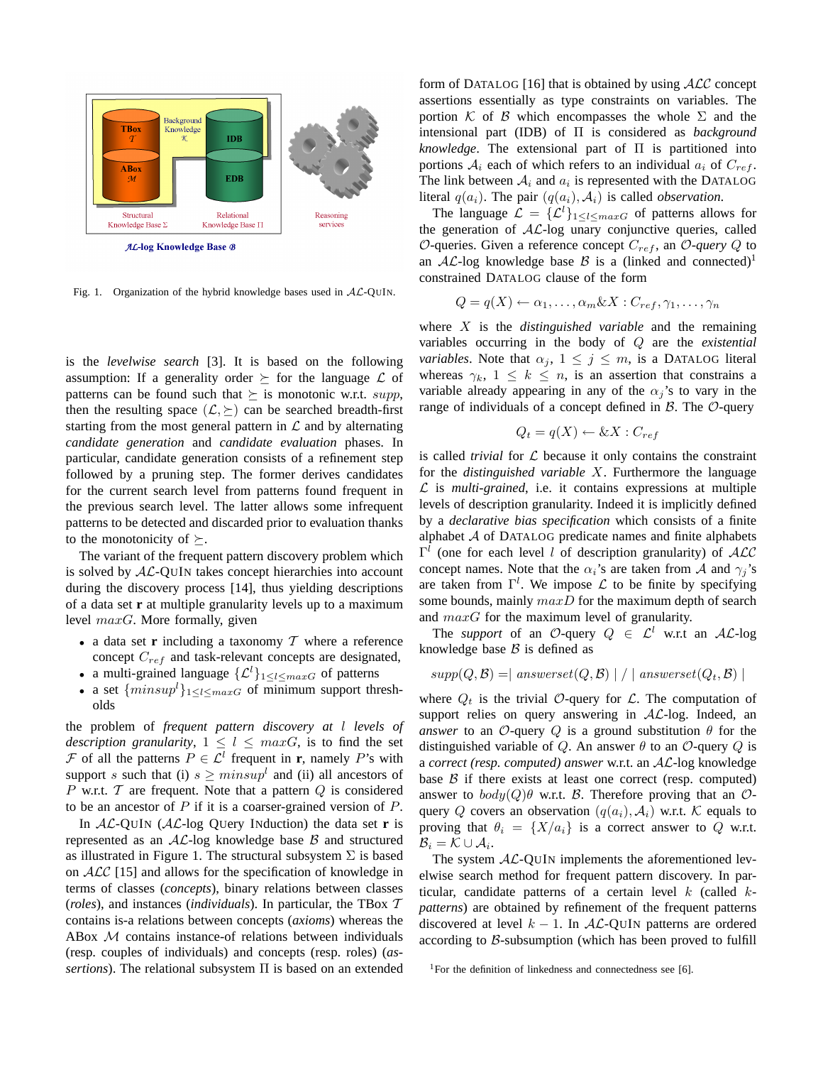

Fig. 1. Organization of the hybrid knowledge bases used in  $AL-QUIN$ .

is the *levelwise search* [3]. It is based on the following assumption: If a generality order  $\succeq$  for the language  $\mathcal L$  of patterns can be found such that  $\succeq$  is monotonic w.r.t. supp, then the resulting space  $(\mathcal{L}, \succeq)$  can be searched breadth-first starting from the most general pattern in  $\mathcal L$  and by alternating *candidate generation* and *candidate evaluation* phases. In particular, candidate generation consists of a refinement step followed by a pruning step. The former derives candidates for the current search level from patterns found frequent in the previous search level. The latter allows some infrequent patterns to be detected and discarded prior to evaluation thanks to the monotonicity of  $\succeq$ .

The variant of the frequent pattern discovery problem which is solved by AL-QUIN takes concept hierarchies into account during the discovery process [14], thus yielding descriptions of a data set **r** at multiple granularity levels up to a maximum level  $maxG$ . More formally, given

- a data set **r** including a taxonomy  $T$  where a reference concept  $C_{ref}$  and task-relevant concepts are designated,
- a multi-grained language  $\{\mathcal{L}^l\}_{1\leq l\leq maxG}$  of patterns
- a set  $\{minus\{minus\}_{1\leq l\leq maxG}$  of minimum support thresholds

the problem of *frequent pattern discovery at* l *levels of description granularity*,  $1 \leq l \leq maxG$ , is to find the set F of all the patterns  $P \in \mathcal{L}^l$  frequent in **r**, namely P's with support s such that (i)  $s \geq minsup^l$  and (ii) all ancestors of P w.r.t.  $\mathcal T$  are frequent. Note that a pattern  $Q$  is considered to be an ancestor of  $P$  if it is a coarser-grained version of  $P$ .

In AL-QUIN (AL-log QUery INduction) the data set **r** is represented as an  $AL$ -log knowledge base  $B$  and structured as illustrated in Figure 1. The structural subsystem  $\Sigma$  is based on ALC [15] and allows for the specification of knowledge in terms of classes (*concepts*), binary relations between classes (*roles*), and instances (*individuals*). In particular, the TBox T contains is-a relations between concepts (*axioms*) whereas the ABox M contains instance-of relations between individuals (resp. couples of individuals) and concepts (resp. roles) (*assertions*). The relational subsystem Π is based on an extended

form of DATALOG [16] that is obtained by using  $\mathcal{ALC}$  concept assertions essentially as type constraints on variables. The portion K of B which encompasses the whole  $\Sigma$  and the intensional part (IDB) of Π is considered as *background knowledge*. The extensional part of Π is partitioned into portions  $A_i$  each of which refers to an individual  $a_i$  of  $C_{ref}$ . The link between  $A_i$  and  $a_i$  is represented with the DATALOG literal  $q(a_i)$ . The pair  $(q(a_i), \mathcal{A}_i)$  is called *observation*.

The language  $\mathcal{L} = {\{\mathcal{L}^l\}}_{1 \leq l \leq maxG}$  of patterns allows for the generation of  $AL$ -log unary conjunctive queries, called  $O$ -queries. Given a reference concept  $C_{ref}$ , an  $O$ -query  $Q$  to an  $AL$ -log knowledge base  $B$  is a (linked and connected)<sup>1</sup> constrained DATALOG clause of the form

$$
Q = q(X) \leftarrow \alpha_1, \dots, \alpha_m \& X : C_{ref}, \gamma_1, \dots, \gamma_n
$$

where X is the *distinguished variable* and the remaining variables occurring in the body of Q are the *existential variables*. Note that  $\alpha_j$ ,  $1 \leq j \leq m$ , is a DATALOG literal whereas  $\gamma_k$ ,  $1 \leq k \leq n$ , is an assertion that constrains a variable already appearing in any of the  $\alpha_j$ 's to vary in the range of individuals of a concept defined in  $\beta$ . The  $\mathcal{O}$ -query

$$
Q_t = q(X) \leftarrow \& X : C_{ref}
$$

is called *trivial* for  $\mathcal L$  because it only contains the constraint for the *distinguished variable* X. Furthermore the language  $L$  is *multi-grained*, i.e. it contains expressions at multiple levels of description granularity. Indeed it is implicitly defined by a *declarative bias specification* which consists of a finite alphabet  $A$  of DATALOG predicate names and finite alphabets  $\Gamma^l$  (one for each level l of description granularity) of ALC concept names. Note that the  $\alpha_i$ 's are taken from A and  $\gamma_i$ 's are taken from  $\Gamma^l$ . We impose  $\mathcal L$  to be finite by specifying some bounds, mainly  $maxD$  for the maximum depth of search and  $maxG$  for the maximum level of granularity.

The *support* of an O-query  $Q \in \mathcal{L}^l$  w.r.t an AL-log knowledge base  $\beta$  is defined as

$$
supp(Q, \mathcal{B}) = | \; answerset(Q, \mathcal{B}) | / | \; answerset(Q_t, \mathcal{B}) |
$$

where  $Q_t$  is the trivial O-query for L. The computation of support relies on query answering in  $AL$ -log. Indeed, an *answer* to an  $\mathcal{O}$ -query  $Q$  is a ground substitution  $\theta$  for the distinguished variable of Q. An answer  $\theta$  to an  $\mathcal{O}\text{-}$ query Q is a *correct (resp. computed) answer* w.r.t. an AL-log knowledge base  $\beta$  if there exists at least one correct (resp. computed) answer to  $body(Q)\theta$  w.r.t. B. Therefore proving that an  $\mathcal{O}$ query Q covers an observation  $(q(a_i), A_i)$  w.r.t. K equals to proving that  $\theta_i = \{X/a_i\}$  is a correct answer to Q w.r.t.  $\mathcal{B}_i = \mathcal{K} \cup \mathcal{A}_i.$ 

The system  $AL$ -QUIN implements the aforementioned levelwise search method for frequent pattern discovery. In particular, candidate patterns of a certain level k (called k*patterns*) are obtained by refinement of the frequent patterns discovered at level  $k - 1$ . In AL-QUIN patterns are ordered according to B-subsumption (which has been proved to fulfill

<sup>&</sup>lt;sup>1</sup>For the definition of linkedness and connectedness see [6].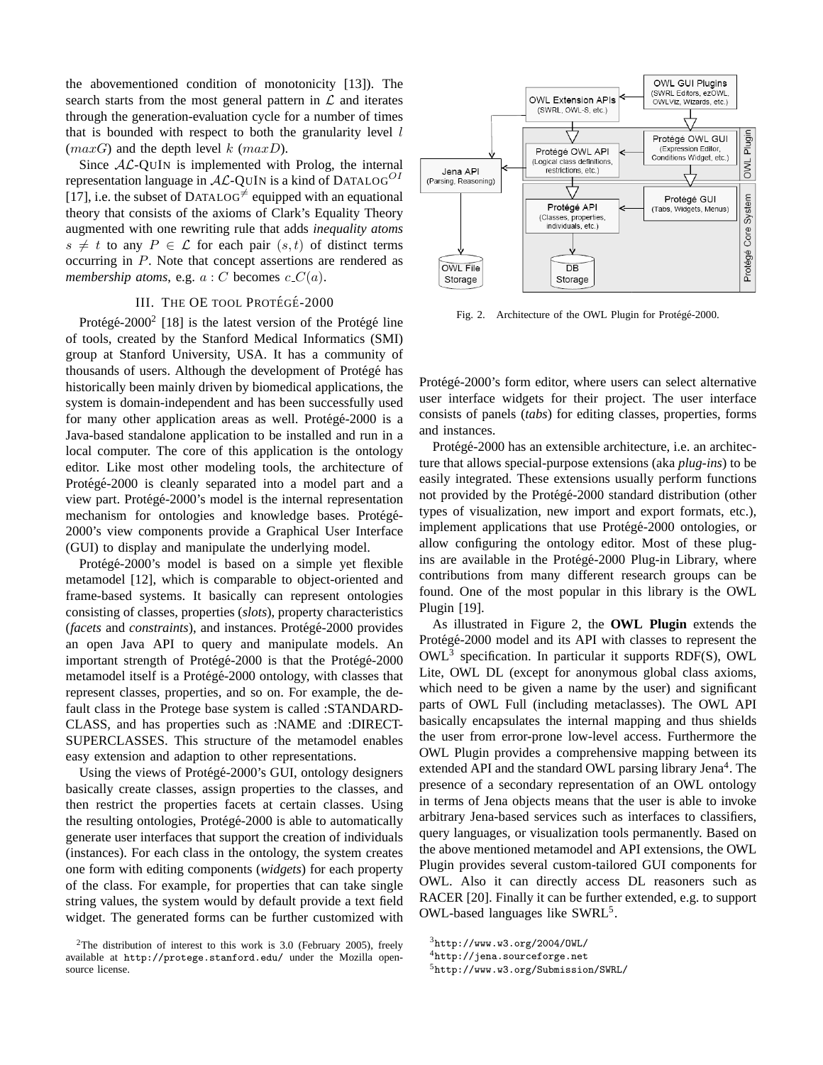the abovementioned condition of monotonicity [13]). The search starts from the most general pattern in  $\mathcal L$  and iterates through the generation-evaluation cycle for a number of times that is bounded with respect to both the granularity level  $l$  $(maxG)$  and the depth level k  $(maxD)$ .

Since  $AL$ -QUIN is implemented with Prolog, the internal representation language in  $AL$ -QUIN is a kind of DATALOG<sup>OI</sup> [17], i.e. the subset of DATALOG<sup> $\neq$ </sup> equipped with an equational theory that consists of the axioms of Clark's Equality Theory augmented with one rewriting rule that adds *inequality atoms*  $s \neq t$  to any  $P \in \mathcal{L}$  for each pair  $(s, t)$  of distinct terms occurring in P. Note that concept assertions are rendered as *membership atoms*, e.g.  $a : C$  becomes  $c \cdot C(a)$ .

## III. THE OE TOOL PROTÉGÉ-2000

Protégé-2000<sup>2</sup> [18] is the latest version of the Protégé line of tools, created by the Stanford Medical Informatics (SMI) group at Stanford University, USA. It has a community of thousands of users. Although the development of Protégé has historically been mainly driven by biomedical applications, the system is domain-independent and has been successfully used for many other application areas as well. Protégé- $2000$  is a Java-based standalone application to be installed and run in a local computer. The core of this application is the ontology editor. Like most other modeling tools, the architecture of Protégé-2000 is cleanly separated into a model part and a view part. Protégé-2000's model is the internal representation mechanism for ontologies and knowledge bases. Protégé-2000's view components provide a Graphical User Interface (GUI) to display and manipulate the underlying model.

Protégé-2000's model is based on a simple yet flexible metamodel [12], which is comparable to object-oriented and frame-based systems. It basically can represent ontologies consisting of classes, properties (*slots*), property characteristics (*facets* and *constraints*), and instances. Protégé-2000 provides an open Java API to query and manipulate models. An important strength of Protégé-2000 is that the Protégé-2000 metamodel itself is a Protégé-2000 ontology, with classes that represent classes, properties, and so on. For example, the default class in the Protege base system is called :STANDARD-CLASS, and has properties such as :NAME and :DIRECT-SUPERCLASSES. This structure of the metamodel enables easy extension and adaption to other representations.

Using the views of Protégé-2000's GUI, ontology designers basically create classes, assign properties to the classes, and then restrict the properties facets at certain classes. Using the resulting ontologies, Protégé-2000 is able to automatically generate user interfaces that support the creation of individuals (instances). For each class in the ontology, the system creates one form with editing components (*widgets*) for each property of the class. For example, for properties that can take single string values, the system would by default provide a text field widget. The generated forms can be further customized with



Fig. 2. Architecture of the OWL Plugin for Protégé-2000.

Protégé-2000's form editor, where users can select alternative user interface widgets for their project. The user interface consists of panels (*tabs*) for editing classes, properties, forms and instances.

Protégé-2000 has an extensible architecture, i.e. an architecture that allows special-purpose extensions (aka *plug-ins*) to be easily integrated. These extensions usually perform functions not provided by the Protégé-2000 standard distribution (other types of visualization, new import and export formats, etc.), implement applications that use Protégé-2000 ontologies, or allow configuring the ontology editor. Most of these plugins are available in the Protégé-2000 Plug-in Library, where contributions from many different research groups can be found. One of the most popular in this library is the OWL Plugin [19].

As illustrated in Figure 2, the **OWL Plugin** extends the Protégé-2000 model and its API with classes to represent the OWL<sup>3</sup> specification. In particular it supports RDF(S), OWL Lite, OWL DL (except for anonymous global class axioms, which need to be given a name by the user) and significant parts of OWL Full (including metaclasses). The OWL API basically encapsulates the internal mapping and thus shields the user from error-prone low-level access. Furthermore the OWL Plugin provides a comprehensive mapping between its extended API and the standard OWL parsing library Jena<sup>4</sup>. The presence of a secondary representation of an OWL ontology in terms of Jena objects means that the user is able to invoke arbitrary Jena-based services such as interfaces to classifiers, query languages, or visualization tools permanently. Based on the above mentioned metamodel and API extensions, the OWL Plugin provides several custom-tailored GUI components for OWL. Also it can directly access DL reasoners such as RACER [20]. Finally it can be further extended, e.g. to support OWL-based languages like SWRL<sup>5</sup>.

<sup>&</sup>lt;sup>2</sup>The distribution of interest to this work is 3.0 (February 2005), freely available at http://protege.stanford.edu/ under the Mozilla opensource license.

 $3$ http://www.w3.org/2004/OWL/

<sup>4</sup>http://jena.sourceforge.net

<sup>5</sup>http://www.w3.org/Submission/SWRL/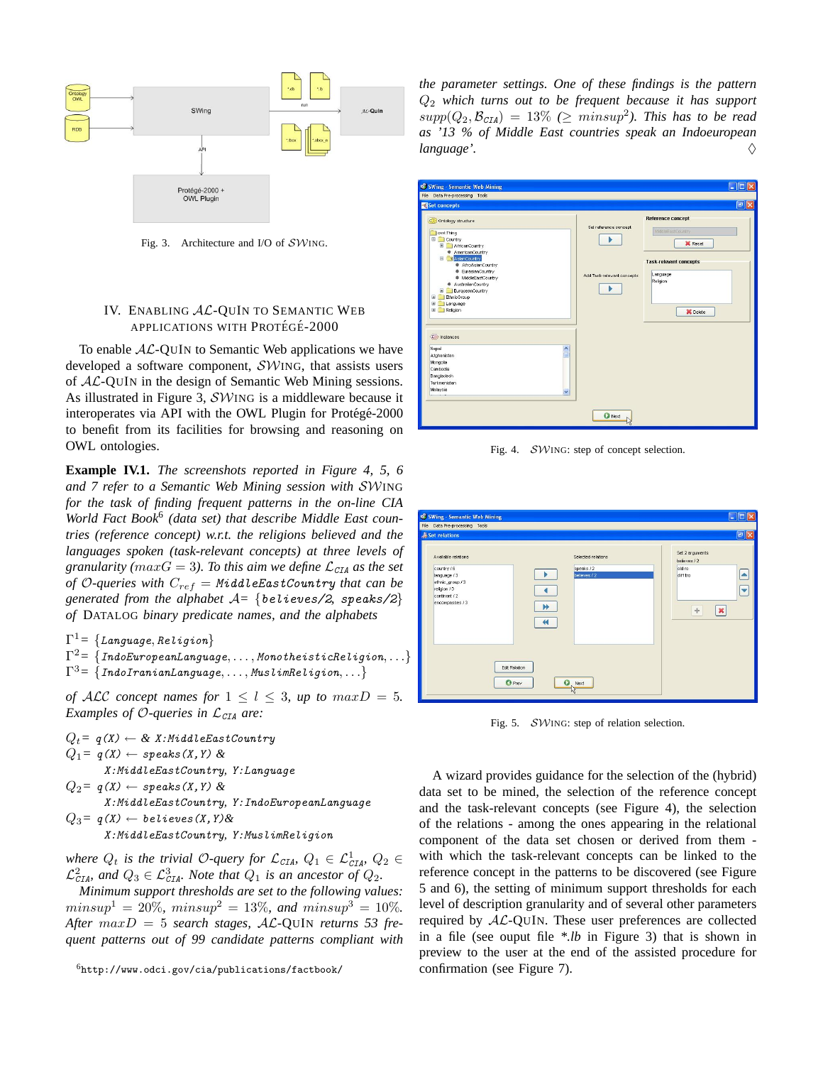

Fig. 3. Architecture and I/O of  $\mathcal{SW}$ ING.

## IV. ENABLING AL-QUIN TO SEMANTIC WEB APPLICATIONS WITH PROTÉGÉ-2000

To enable  $AL$ -QUIN to Semantic Web applications we have developed a software component, SWING, that assists users of AL-QUIN in the design of Semantic Web Mining sessions. As illustrated in Figure 3, SWING is a middleware because it interoperates via API with the OWL Plugin for Protégé-2000 to benefit from its facilities for browsing and reasoning on OWL ontologies.

**Example IV.1.** *The screenshots reported in Figure 4, 5, 6 and 7 refer to a Semantic Web Mining session with* SWING *for the task of finding frequent patterns in the on-line CIA World Fact Book*<sup>6</sup> *(data set) that describe Middle East countries (reference concept) w.r.t. the religions believed and the languages spoken (task-relevant concepts) at three levels of granularity (maxG = 3). To this aim we define*  $\mathcal{L}_{CIA}$  *as the set of* O-queries with  $C_{ref} = MiddleEastCountry$  *that can be generated from the alphabet*  $A = \{believes / 2, \text{ }speaks / 2\}$ *of* DATALOG *binary predicate names, and the alphabets*

 $\Gamma^1 \text{= } \left\{ \textit{Language}, \textit{Religion} \right\}$ 

$$
\Gamma^2 = \{ \text{IndoEuropeanLanguage}, \ldots, \text{MonotheisticRelation}, \ldots \}
$$
  

$$
\Gamma^3 = \{ \text{IndoIranianLanguage}, \ldots, \text{MuslimReligion}, \ldots \}
$$

*of*  $ALC$  *concept names for*  $1 \le l \le 3$ *, up to max* $D = 5$ *. Examples of O-queries in*  $\mathcal{L}_{CIA}$  *are:* 

 $Q_t = q(X) \leftarrow \& X: MiddleEastCountry$  $Q_1 = q(X) \leftarrow$  speaks  $(X, Y)$  & X:MiddleEastCountry*,* Y:Language  $Q_2 = q(X) \leftarrow$  speaks (X, Y) & X:MiddleEastCountry*,* Y:IndoEuropeanLanguage  $Q_3$ =  $q(X) \leftarrow$  believes(X,Y)& X:MiddleEastCountry*,* Y:MuslimReligion

*where*  $Q_t$  *is the trivial O-query for*  $\mathcal{L}_{CIA}$ *,*  $Q_1 \in \mathcal{L}_{CIA}^1$ *,*  $Q_2 \in$  $\mathcal{L}_{\text{CIA}}^2$ , and  $Q_3 \in \mathcal{L}_{\text{CIA}}^3$ . Note that  $Q_1$  is an ancestor of  $Q_2$ .

*Minimum support thresholds are set to the following values:*  $minsup<sup>1</sup> = 20\%, minsup<sup>2</sup> = 13\%, and minsup<sup>3</sup> = 10\%.$ *After* maxD = 5 *search stages,* AL*-*QUIN *returns 53 frequent patterns out of 99 candidate patterns compliant with*

<sup>6</sup>http://www.odci.gov/cia/publications/factbook/

*the parameter settings. One of these findings is the pattern* Q<sup>2</sup> *which turns out to be frequent because it has support*  $supp(Q_2, \mathcal{B}_{CIA}) = 13\%$  ( $\geq minsup^2$ ). This has to be read *as '13 % of Middle East countries speak an Indoeuropean language'.*  $\diamondsuit$ 



Fig. 4. SWING: step of concept selection.

| File Data Pre-processing Tools<br><b>Set relations</b>                                                                     |                                                                                                   | $\boxed{\blacksquare}$                                                                                              |
|----------------------------------------------------------------------------------------------------------------------------|---------------------------------------------------------------------------------------------------|---------------------------------------------------------------------------------------------------------------------|
| Available relations<br>country / 6<br>language / 3<br>ethnic_group / 3<br>religion / 3<br>continent / 2<br>encompasses / 3 | Selected relations<br>speaks / 2<br>believes / 2<br>$\blacktriangleright$<br>$\blacktriangleleft$ | Set 2 arguments<br>believes / 2<br>old ro<br>$\blacktriangle$<br>diff tro<br>$\overline{\textbf{v}}$<br>$\Phi$<br>× |
|                                                                                                                            | Edit Relation<br><b>O</b> Prev<br>Ð<br>Next                                                       |                                                                                                                     |

Fig. 5. SWING: step of relation selection.

A wizard provides guidance for the selection of the (hybrid) data set to be mined, the selection of the reference concept and the task-relevant concepts (see Figure 4), the selection of the relations - among the ones appearing in the relational component of the data set chosen or derived from them with which the task-relevant concepts can be linked to the reference concept in the patterns to be discovered (see Figure 5 and 6), the setting of minimum support thresholds for each level of description granularity and of several other parameters required by AL-QUIN. These user preferences are collected in a file (see ouput file *\*.lb* in Figure 3) that is shown in preview to the user at the end of the assisted procedure for confirmation (see Figure 7).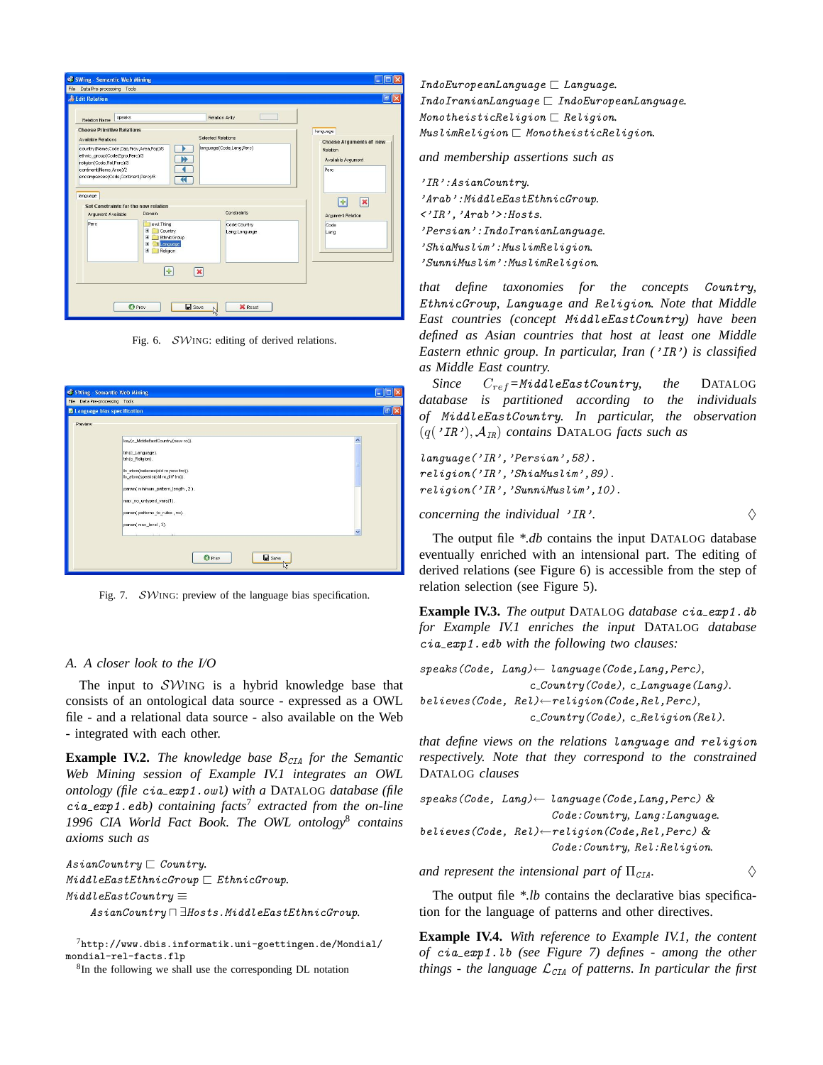| & Edit Relation<br>speaks<br>Relation Name                                                                                                                                                  |                                                                      | Relation Arity                                                              | $\Box$                                                                                |
|---------------------------------------------------------------------------------------------------------------------------------------------------------------------------------------------|----------------------------------------------------------------------|-----------------------------------------------------------------------------|---------------------------------------------------------------------------------------|
| <b>Choose Primitive Relations</b><br>Available Relations<br>country(Name,Code,Cap,Prov,Area,Pop)/6<br>ethnic_group(Code,Egrp,Perc)/3<br>religion(Code Rel Perc)/3<br>continent(Name,Area)/2 |                                                                      | Selected Relations<br>language(Code Lang Perc)<br>Ы                         | language<br><b>Choose Arguments of new</b><br>Relation<br>Available Argument<br>Perc  |
| encompasses(Code,Continent,Perc)/3<br>language<br>Set Constraints for the new relation<br>Arqument Available<br>Perc                                                                        | Domain<br>owt Thing<br>$\blacksquare$<br>Country<br>田<br>EthnicGroup | $\blacktriangleleft$<br><b>Constraints</b><br>Code:Country<br>Lang:Language | $\overline{\mathbf{x}}$<br>$\left  \Phi \right $<br>Argument Relation<br>Code<br>Long |
|                                                                                                                                                                                             | 田<br>Language<br>田<br>Refaion<br>÷                                   | $\boldsymbol{\mathsf{x}}$                                                   |                                                                                       |

Fig. 6. SWING: editing of derived relations.

|                                      | File Data Pre-processing Tools                                                                                                                                                                                                                                                  |                      |
|--------------------------------------|---------------------------------------------------------------------------------------------------------------------------------------------------------------------------------------------------------------------------------------------------------------------------------|----------------------|
| <b>Z</b> Language bias specification |                                                                                                                                                                                                                                                                                 | lo∥≻                 |
| Preview                              |                                                                                                                                                                                                                                                                                 |                      |
|                                      | key(c_MiddleEastCountry(new ro)).<br>trh(c_Language).<br>trh(c_Religion).<br>lb_atom(believes(old ro,new tro)).<br>lb_atom(speaks(old ro,diff tro)).<br>param( minimum_pattern_length, 2).<br>max_no_untyped_vars(1).<br>param(patterns_to_rules, no).<br>param( max_level, 3). | $\ddot{\phantom{0}}$ |

Fig. 7. SWING: preview of the language bias specification.

## *A. A closer look to the I/O*

The input to  $\mathcal{SW}$ ING is a hybrid knowledge base that consists of an ontological data source - expressed as a OWL file - and a relational data source - also available on the Web - integrated with each other.

**Example IV.2.** *The knowledge base*  $\mathcal{B}_{CIA}$  *for the Semantic Web Mining session of Example IV.1 integrates an OWL ontology (file* cia exp1.owl*) with a* DATALOG *database (file* cia exp1.edb*) containing facts*<sup>7</sup> *extracted from the on-line 1996 CIA World Fact Book. The OWL ontology*<sup>8</sup> *contains axioms such as*

```
\mathit{AsianCountry} \sqsubset \mathit{Country}.MidaleEastEthnic Group \sqsubset EthnicGroup.MidbleEastCountry \equiv
```
AsianCountry u ∃Hosts.MiddleEastEthnicGroup*.*

```
7http://www.dbis.informatik.uni-goettingen.de/Mondial/
mondial-rel-facts.flp
```
<sup>8</sup>In the following we shall use the corresponding DL notation

 $IndoEuropeanLanguage \sqsubset Language$ . IndoIranianLanguage @ IndoEuropeanLanguage*.* MonotheisticReligion @ Religion*.* MuslimReligion @ MonotheisticReligion*.*

*and membership assertions such as*

```
'IR':AsianCountry.
'Arab':MiddleEastEthnicGroup.
<'IR','Arab'>:Hosts.
'Persian':IndoIranianLanguage.
'ShiaMuslim':MuslimReligion.
'SunniMuslim':MuslimReligion.
```
*that define taxonomies for the concepts* Country*,* EthnicGroup*,* Language *and* Religion*. Note that Middle East countries (concept* MiddleEastCountry*) have been defined as Asian countries that host at least one Middle Eastern ethnic group. In particular, Iran (*'IR'*) is classified as Middle East country.*

*Since* Cref*=*MiddleEastCountry*, the* DATALOG *database is partitioned according to the individuals of* MiddleEastCountry*. In particular, the observation* (q('IR'), AIR) *contains* DATALOG *facts such as*

language('IR','Persian',58). religion('IR','ShiaMuslim',89). religion('IR','SunniMuslim',10).

```
concerning the individual 'IR'. \Diamond
```
The output file *\*.db* contains the input DATALOG database eventually enriched with an intensional part. The editing of derived relations (see Figure 6) is accessible from the step of relation selection (see Figure 5).

**Example IV.3.** *The output* DATALOG *database* cia exp1.db *for Example IV.1 enriches the input* DATALOG *database* cia exp1.edb *with the following two clauses:*

```
speaks(Code, Lang)← language(Code,Lang,Perc),
                 c Country(Code), c Language(Lang).
believes(Code, Rel)←religion(Code,Rel,Perc),
                  c Country(Code), c Religion(Rel).
```
*that define views on the relations* language *and* religion *respectively. Note that they correspond to the constrained* DATALOG *clauses*

```
speaks(Code, Lang)← language(Code,Lang,Perc) &
                     Code:Country, Lang:Language.
believes(Code, Rel)←religion(Code,Rel,Perc) &
                     Code:Country, Rel:Religion.
```
*and represent the intensional part of*  $\Pi_{CIA}$ .

The output file *\*.lb* contains the declarative bias specification for the language of patterns and other directives.

**Example IV.4.** *With reference to Example IV.1, the content of* cia exp1.lb *(see Figure 7) defines - among the other things - the language*  $\mathcal{L}_{CIA}$  *of patterns. In particular the first*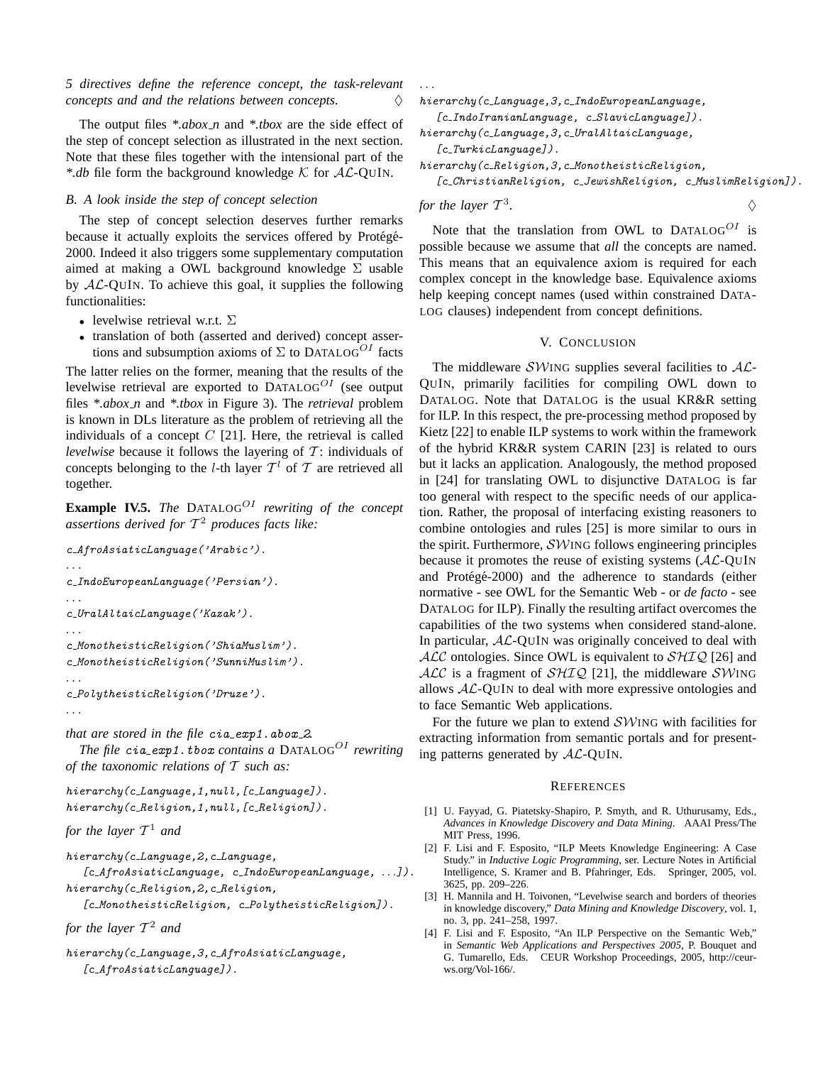The output files *\*.abox n* and *\*.tbox* are the side effect of the step of concept selection as illustrated in the next section. Note that these files together with the intensional part of the *\*.db* file form the background knowledge  $K$  for  $AL-QUIN$ .

## *B. A look inside the step of concept selection*

The step of concept selection deserves further remarks because it actually exploits the services offered by Protégé-2000. Indeed it also triggers some supplementary computation aimed at making a OWL background knowledge  $\Sigma$  usable by  $A\mathcal{L}\text{-}\text{QUIN}$ . To achieve this goal, it supplies the following functionalities:

- levelwise retrieval w.r.t.  $\Sigma$
- translation of both (asserted and derived) concept assertions and subsumption axioms of  $\Sigma$  to DATALOG<sup>OI</sup> facts

The latter relies on the former, meaning that the results of the levelwise retrieval are exported to  $DATALOG^{OI}$  (see output files *\*.abox n* and *\*.tbox* in Figure 3). The *retrieval* problem is known in DLs literature as the problem of retrieving all the individuals of a concept  $C$  [21]. Here, the retrieval is called *levelwise* because it follows the layering of  $T$ : individuals of concepts belonging to the *l*-th layer  $T<sup>l</sup>$  of T are retrieved all together.

**Example IV.5.** *The* DATALOG<sup>*OI*</sup> *rewriting of the concept assertions derived for* T <sup>2</sup> *produces facts like:*

```
c AfroAsiaticLanguage('Arabic').
. . .
c IndoEuropeanLanguage('Persian').
. . .
c_UralAltaicLanguage('Kazak').
. . .
c MonotheisticReligion('ShiaMuslim').
c MonotheisticReligion('SunniMuslim').
. . .
c PolytheisticReligion('Druze').
. . .
that are stored in the file cia_exp1.abox_2.
```
*The file*  $cia\_exp1.$  *thox contains a* DATALOG<sup>*OI*</sup> *rewriting of the taxonomic relations of* T *such as:*

hierarchy(c\_Language, 1, null, [c\_Language]). hierarchy(c\_Religion, 1, null, [c\_Religion]).

```
for the layer T
1 and
```

```
hierarchy (c_Language, 2, c_Language,
```
[c\_AfroAsiaticLanguage, c\_IndoEuropeanLanguage, ...]). hierarchy (c\_Religion, 2, c\_Religion,

[c\_MonotheisticReligion, c\_PolytheisticReligion]).

```
for the layer T
2 and
```
hierarchy (c\_Language, 3, c\_AfroAsiaticLanguage, [c\_AfroAsiaticLanguage]).

. . .

hierarchy(c Language,3,c IndoEuropeanLanguage, [c\_IndoIranianLanguage, c\_SlavicLanguage]).

hierarchy(c\_Language, 3, c\_UralAltaicLanguage, [c\_TurkicLanguage]).

hierarchy(c\_Religion, 3, c\_MonotheisticReligion,

[c\_ChristianReligion, c\_JewishReligion, c\_MuslimReligion]).

*.* ♦

for the layer 
$$
T^3
$$

Note that the translation from OWL to  $DATALOG^{OI}$  is possible because we assume that *all* the concepts are named. This means that an equivalence axiom is required for each complex concept in the knowledge base. Equivalence axioms help keeping concept names (used within constrained DATA-LOG clauses) independent from concept definitions.

## V. CONCLUSION

The middleware  $\mathcal{SW}$ ING supplies several facilities to  $\mathcal{AL}$ -QUIN, primarily facilities for compiling OWL down to DATALOG. Note that DATALOG is the usual KR&R setting for ILP. In this respect, the pre-processing method proposed by Kietz [22] to enable ILP systems to work within the framework of the hybrid KR&R system CARIN [23] is related to ours but it lacks an application. Analogously, the method proposed in [24] for translating OWL to disjunctive DATALOG is far too general with respect to the specific needs of our application. Rather, the proposal of interfacing existing reasoners to combine ontologies and rules [25] is more similar to ours in the spirit. Furthermore,  $\mathcal{SW}$ ING follows engineering principles because it promotes the reuse of existing systems  $(AC-QUIN)$ and Protégé-2000) and the adherence to standards (either normative - see OWL for the Semantic Web - or *de facto* - see DATALOG for ILP). Finally the resulting artifact overcomes the capabilities of the two systems when considered stand-alone. In particular,  $AL-QUIN$  was originally conceived to deal with  $ALC$  ontologies. Since OWL is equivalent to  $\mathcal{SHIQ}$  [26] and  $ALC$  is a fragment of  $SHIQ$  [21], the middleware SWING allows  $AL$ -QUIN to deal with more expressive ontologies and to face Semantic Web applications.

For the future we plan to extend  $\mathcal{SW}$ ING with facilities for extracting information from semantic portals and for presenting patterns generated by AL-QUIN.

#### **REFERENCES**

- [1] U. Fayyad, G. Piatetsky-Shapiro, P. Smyth, and R. Uthurusamy, Eds., *Advances in Knowledge Discovery and Data Mining*. AAAI Press/The MIT Press, 1996.
- [2] F. Lisi and F. Esposito, "ILP Meets Knowledge Engineering: A Case Study." in *Inductive Logic Programming*, ser. Lecture Notes in Artificial Intelligence, S. Kramer and B. Pfahringer, Eds. Springer, 2005, vol. 3625, pp. 209–226.
- [3] H. Mannila and H. Toivonen, "Levelwise search and borders of theories in knowledge discovery," *Data Mining and Knowledge Discovery*, vol. 1, no. 3, pp. 241–258, 1997.
- [4] F. Lisi and F. Esposito, "An ILP Perspective on the Semantic Web," in *Semantic Web Applications and Perspectives 2005*, P. Bouquet and G. Tumarello, Eds. CEUR Workshop Proceedings, 2005, http://ceurws.org/Vol-166/.